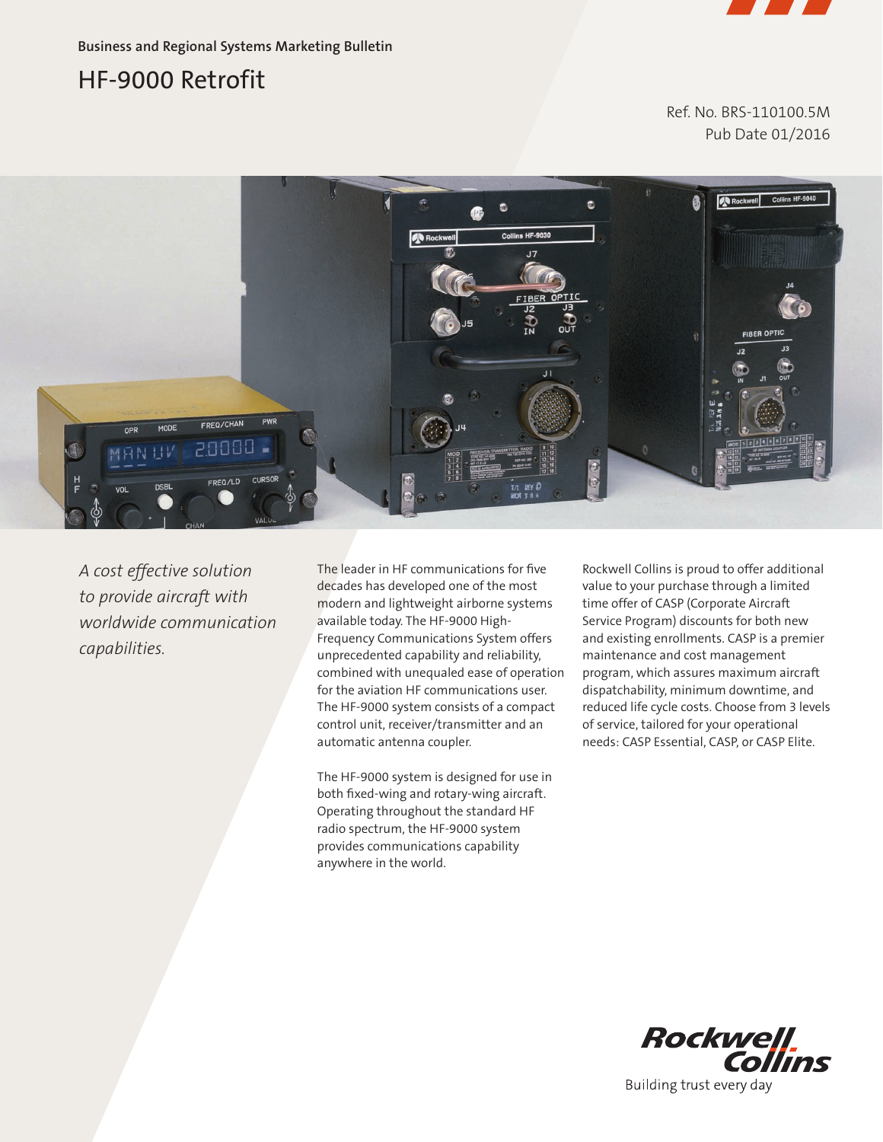

**Business and Regional Systems Marketing Bulletin**

# HF-9000 Retrofit

Ref. No. BRS-110100.5M Pub Date 01/2016



*A cost effective solution to provide aircraft with worldwide communication capabilities.*

The leader in HF communications for five decades has developed one of the most modern and lightweight airborne systems available today. The HF-9000 High-Frequency Communications System offers unprecedented capability and reliability, combined with unequaled ease of operation for the aviation HF communications user. The HF-9000 system consists of a compact control unit, receiver/transmitter and an automatic antenna coupler.

The HF-9000 system is designed for use in both fixed-wing and rotary-wing aircraft. Operating throughout the standard HF radio spectrum, the HF-9000 system provides communications capability anywhere in the world.

Rockwell Collins is proud to offer additional value to your purchase through a limited time offer of CASP (Corporate Aircraft Service Program) discounts for both new and existing enrollments. CASP is a premier maintenance and cost management program, which assures maximum aircraft dispatchability, minimum downtime, and reduced life cycle costs. Choose from 3 levels of service, tailored for your operational needs: CASP Essential, CASP, or CASP Elite.



Building trust every day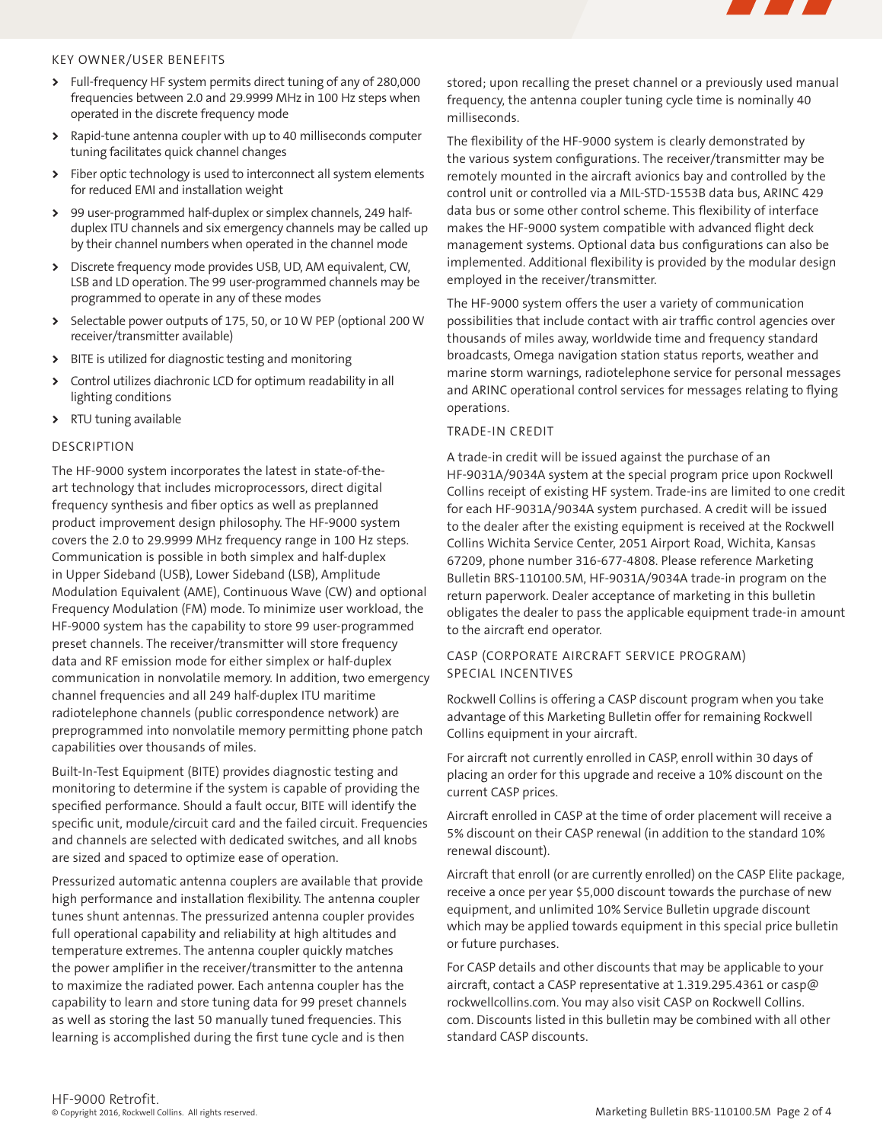

### KEY OWNER/USER BENEFITS

- **>** Full-frequency HF system permits direct tuning of any of 280,000 frequencies between 2.0 and 29.9999 MHz in 100 Hz steps when operated in the discrete frequency mode
- **>** Rapid-tune antenna coupler with up to 40 milliseconds computer tuning facilitates quick channel changes
- **>** Fiber optic technology is used to interconnect all system elements for reduced EMI and installation weight
- **>** 99 user-programmed half-duplex or simplex channels, 249 halfduplex ITU channels and six emergency channels may be called up by their channel numbers when operated in the channel mode
- **>** Discrete frequency mode provides USB, UD, AM equivalent, CW, LSB and LD operation. The 99 user-programmed channels may be programmed to operate in any of these modes
- **>** Selectable power outputs of 175, 50, or 10 W PEP (optional 200 W receiver/transmitter available)
- **>** BITE is utilized for diagnostic testing and monitoring
- **>** Control utilizes diachronic LCD for optimum readability in all lighting conditions
- **>** RTU tuning available

### DESCRIPTION

The HF-9000 system incorporates the latest in state-of-theart technology that includes microprocessors, direct digital frequency synthesis and fiber optics as well as preplanned product improvement design philosophy. The HF-9000 system covers the 2.0 to 29.9999 MHz frequency range in 100 Hz steps. Communication is possible in both simplex and half-duplex in Upper Sideband (USB), Lower Sideband (LSB), Amplitude Modulation Equivalent (AME), Continuous Wave (CW) and optional Frequency Modulation (FM) mode. To minimize user workload, the HF-9000 system has the capability to store 99 user-programmed preset channels. The receiver/transmitter will store frequency data and RF emission mode for either simplex or half-duplex communication in nonvolatile memory. In addition, two emergency channel frequencies and all 249 half-duplex ITU maritime radiotelephone channels (public correspondence network) are preprogrammed into nonvolatile memory permitting phone patch capabilities over thousands of miles.

Built-In-Test Equipment (BITE) provides diagnostic testing and monitoring to determine if the system is capable of providing the specified performance. Should a fault occur, BITE will identify the specific unit, module/circuit card and the failed circuit. Frequencies and channels are selected with dedicated switches, and all knobs are sized and spaced to optimize ease of operation.

Pressurized automatic antenna couplers are available that provide high performance and installation flexibility. The antenna coupler tunes shunt antennas. The pressurized antenna coupler provides full operational capability and reliability at high altitudes and temperature extremes. The antenna coupler quickly matches the power amplifier in the receiver/transmitter to the antenna to maximize the radiated power. Each antenna coupler has the capability to learn and store tuning data for 99 preset channels as well as storing the last 50 manually tuned frequencies. This learning is accomplished during the first tune cycle and is then

stored; upon recalling the preset channel or a previously used manual frequency, the antenna coupler tuning cycle time is nominally 40 milliseconds.

The flexibility of the HF-9000 system is clearly demonstrated by the various system configurations. The receiver/transmitter may be remotely mounted in the aircraft avionics bay and controlled by the control unit or controlled via a MIL-STD-1553B data bus, ARINC 429 data bus or some other control scheme. This flexibility of interface makes the HF-9000 system compatible with advanced flight deck management systems. Optional data bus configurations can also be implemented. Additional flexibility is provided by the modular design employed in the receiver/transmitter.

The HF-9000 system offers the user a variety of communication possibilities that include contact with air traffic control agencies over thousands of miles away, worldwide time and frequency standard broadcasts, Omega navigation station status reports, weather and marine storm warnings, radiotelephone service for personal messages and ARINC operational control services for messages relating to flying operations.

### TRADE-IN CREDIT

A trade-in credit will be issued against the purchase of an HF-9031A/9034A system at the special program price upon Rockwell Collins receipt of existing HF system. Trade-ins are limited to one credit for each HF-9031A/9034A system purchased. A credit will be issued to the dealer after the existing equipment is received at the Rockwell Collins Wichita Service Center, 2051 Airport Road, Wichita, Kansas 67209, phone number 316-677-4808. Please reference Marketing Bulletin BRS-110100.5M, HF-9031A/9034A trade-in program on the return paperwork. Dealer acceptance of marketing in this bulletin obligates the dealer to pass the applicable equipment trade-in amount to the aircraft end operator.

## CASP (CORPORATE AIRCRAFT SERVICE PROGRAM) SPECIAL INCENTIVES

Rockwell Collins is offering a CASP discount program when you take advantage of this Marketing Bulletin offer for remaining Rockwell Collins equipment in your aircraft.

For aircraft not currently enrolled in CASP, enroll within 30 days of placing an order for this upgrade and receive a 10% discount on the current CASP prices.

Aircraft enrolled in CASP at the time of order placement will receive a 5% discount on their CASP renewal (in addition to the standard 10% renewal discount).

Aircraft that enroll (or are currently enrolled) on the CASP Elite package, receive a once per year \$5,000 discount towards the purchase of new equipment, and unlimited 10% Service Bulletin upgrade discount which may be applied towards equipment in this special price bulletin or future purchases.

For CASP details and other discounts that may be applicable to your aircraft, contact a CASP representative at 1.319.295.4361 or casp@ rockwellcollins.com. You may also visit CASP on Rockwell Collins. com. Discounts listed in this bulletin may be combined with all other standard CASP discounts.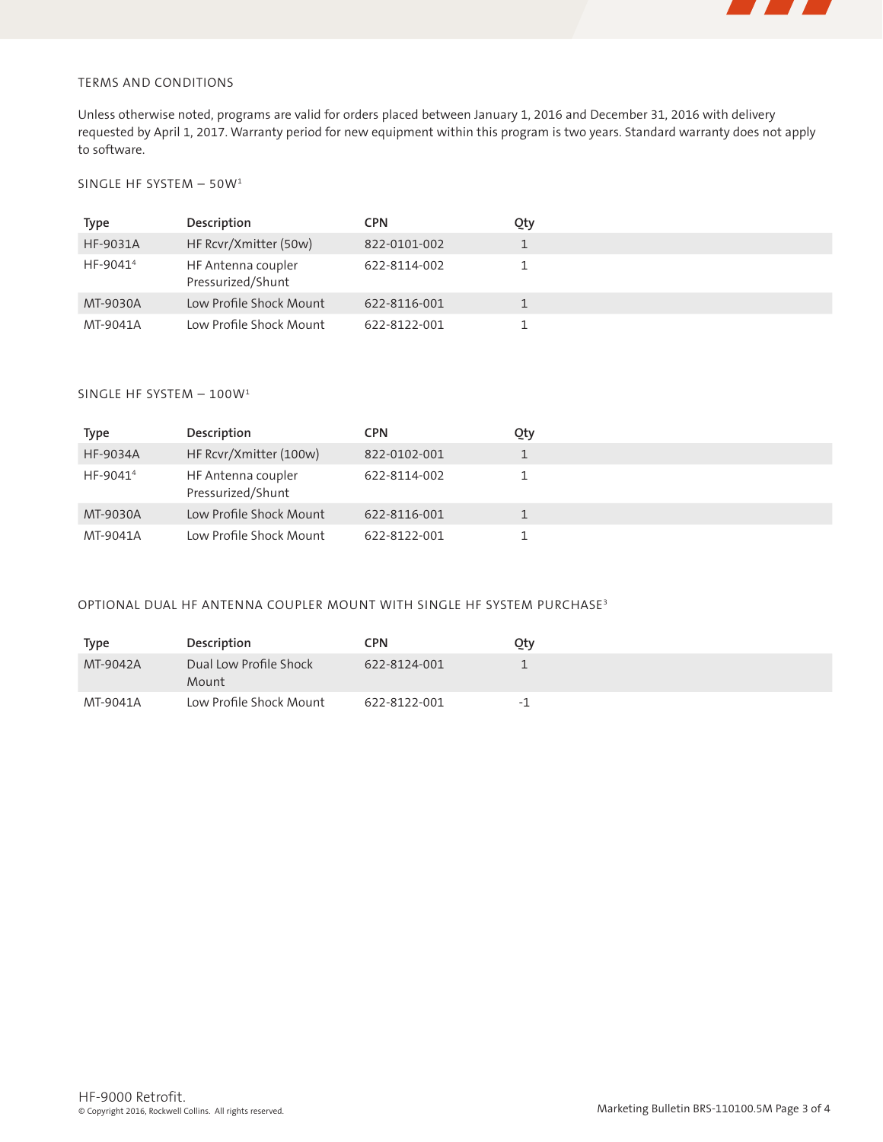

# TERMS AND CONDITIONS

Unless otherwise noted, programs are valid for orders placed between January 1, 2016 and December 31, 2016 with delivery requested by April 1, 2017. Warranty period for new equipment within this program is two years. Standard warranty does not apply to software.

# SINGLE HF SYSTEM – 50W1

| Type                 | Description                             | CPN          | Qty |  |
|----------------------|-----------------------------------------|--------------|-----|--|
| HF-9031A             | HF Rcvr/Xmitter (50w)                   | 822-0101-002 |     |  |
| HF-9041 <sup>4</sup> | HF Antenna coupler<br>Pressurized/Shunt | 622-8114-002 |     |  |
| MT-9030A             | Low Profile Shock Mount                 | 622-8116-001 |     |  |
| MT-9041A             | Low Profile Shock Mount                 | 622-8122-001 |     |  |

## SINGLE HF SYSTEM – 100W1

| <b>Type</b>          | Description                             | <b>CPN</b>   | Qty |  |
|----------------------|-----------------------------------------|--------------|-----|--|
| <b>HF-9034A</b>      | HF Rcvr/Xmitter (100w)                  | 822-0102-001 |     |  |
| HF-9041 <sup>4</sup> | HF Antenna coupler<br>Pressurized/Shunt | 622-8114-002 |     |  |
| MT-9030A             | Low Profile Shock Mount                 | 622-8116-001 |     |  |
| MT-9041A             | Low Profile Shock Mount                 | 622-8122-001 |     |  |

# OPTIONAL DUAL HF ANTENNA COUPLER MOUNT WITH SINGLE HF SYSTEM PURCHASE3

| <b>Type</b> | Description                     | CPN          | Qty |
|-------------|---------------------------------|--------------|-----|
| MT-9042A    | Dual Low Profile Shock<br>Mount | 622-8124-001 |     |
| MT-9041A    | Low Profile Shock Mount         | 622-8122-001 | -1  |